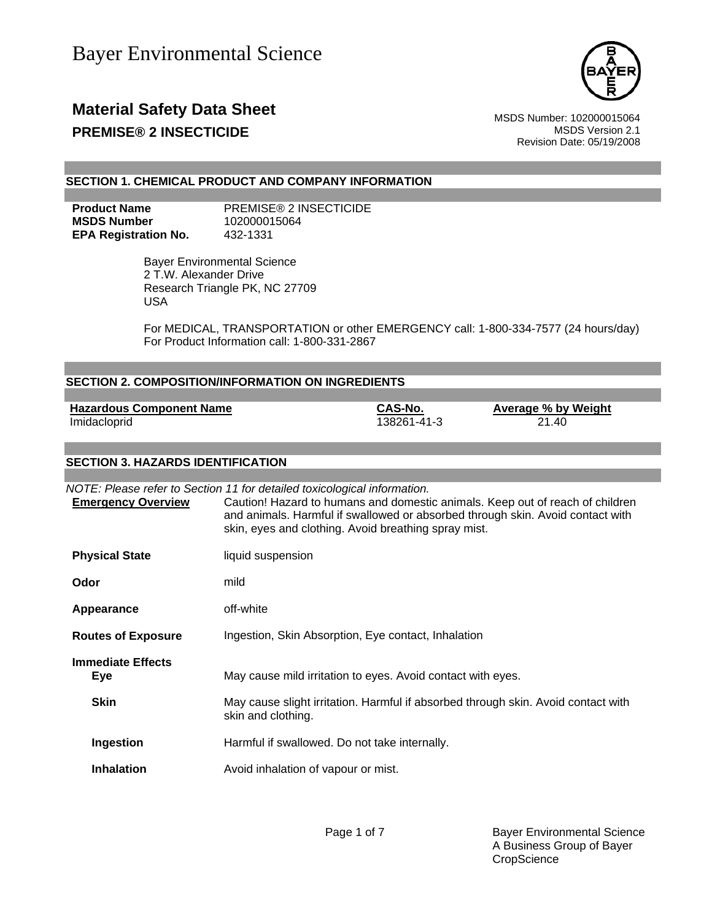

## **Material Safety Data Sheet** MSDS Number: 102000015064 **PREMISE® 2 INSECTICIDE MSDS** Version 2.1

Revision Date: 05/19/2008

#### **SECTION 1. CHEMICAL PRODUCT AND COMPANY INFORMATION**

**MSDS Number** 102000015064 **EPA Registration No.** 432-1331

**Product Name** PREMISE® 2 INSECTICIDE

 Bayer Environmental Science 2 T.W. Alexander Drive Research Triangle PK, NC 27709 USA

For MEDICAL, TRANSPORTATION or other EMERGENCY call: 1-800-334-7577 (24 hours/day) For Product Information call: 1-800-331-2867

|                                                 | <b>SECTION 2. COMPOSITION/INFORMATION ON INGREDIENTS</b>                                                                         |                        |                                                                                                                                                                 |
|-------------------------------------------------|----------------------------------------------------------------------------------------------------------------------------------|------------------------|-----------------------------------------------------------------------------------------------------------------------------------------------------------------|
| <b>Hazardous Component Name</b><br>Imidacloprid |                                                                                                                                  | CAS-No.<br>138261-41-3 | <b>Average % by Weight</b><br>21.40                                                                                                                             |
| <b>SECTION 3. HAZARDS IDENTIFICATION</b>        |                                                                                                                                  |                        |                                                                                                                                                                 |
| <b>Emergency Overview</b>                       | NOTE: Please refer to Section 11 for detailed toxicological information.<br>skin, eyes and clothing. Avoid breathing spray mist. |                        | Caution! Hazard to humans and domestic animals. Keep out of reach of children<br>and animals. Harmful if swallowed or absorbed through skin. Avoid contact with |
| <b>Physical State</b>                           | liquid suspension                                                                                                                |                        |                                                                                                                                                                 |
| Odor                                            | mild                                                                                                                             |                        |                                                                                                                                                                 |
| Appearance                                      | off-white                                                                                                                        |                        |                                                                                                                                                                 |
| <b>Routes of Exposure</b>                       | Ingestion, Skin Absorption, Eye contact, Inhalation                                                                              |                        |                                                                                                                                                                 |
| <b>Immediate Effects</b><br><b>Eye</b>          | May cause mild irritation to eyes. Avoid contact with eyes.                                                                      |                        |                                                                                                                                                                 |
| <b>Skin</b>                                     | skin and clothing.                                                                                                               |                        | May cause slight irritation. Harmful if absorbed through skin. Avoid contact with                                                                               |
| Ingestion                                       | Harmful if swallowed. Do not take internally.                                                                                    |                        |                                                                                                                                                                 |
| <b>Inhalation</b>                               | Avoid inhalation of vapour or mist.                                                                                              |                        |                                                                                                                                                                 |
|                                                 |                                                                                                                                  |                        |                                                                                                                                                                 |
|                                                 |                                                                                                                                  |                        |                                                                                                                                                                 |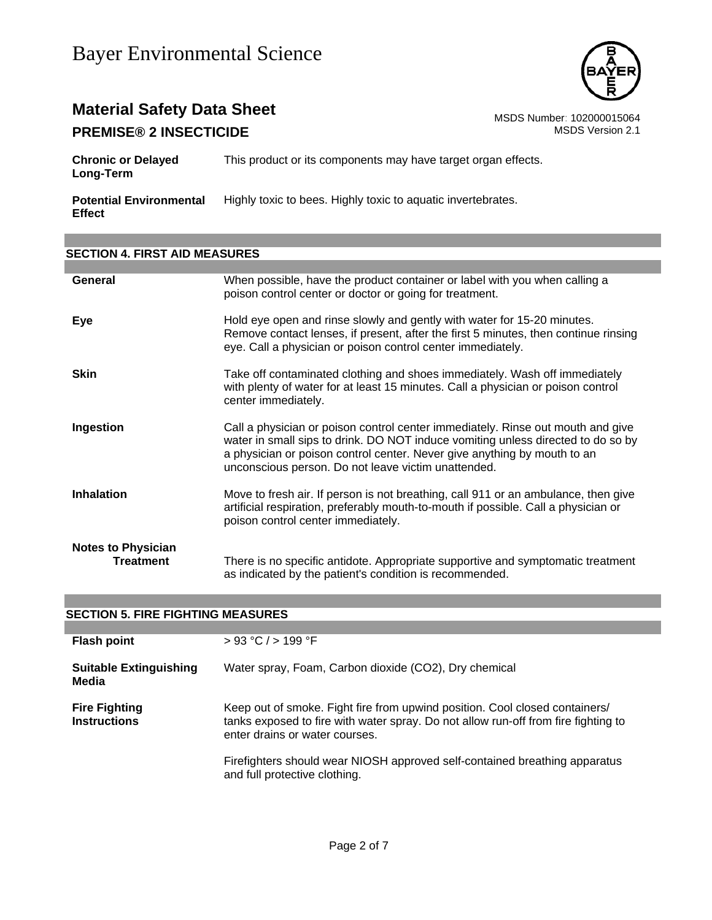

## **Material Safety Data Sheet**<br>**PREMISE® 2 INSECTICIDE** MSDS Number: 102000015064<br>MSDS Version 2.1 **PREMISE® 2 INSECTICIDE**

| <b>Chronic or Delayed</b><br>Long-Term          | This product or its components may have target organ effects. |
|-------------------------------------------------|---------------------------------------------------------------|
| <b>Potential Environmental</b><br><b>Effect</b> | Highly toxic to bees. Highly toxic to aquatic invertebrates.  |

## **SECTION 4. FIRST AID MEASURES**

| General                                | When possible, have the product container or label with you when calling a<br>poison control center or doctor or going for treatment.                                                                                                                                                                  |
|----------------------------------------|--------------------------------------------------------------------------------------------------------------------------------------------------------------------------------------------------------------------------------------------------------------------------------------------------------|
| Eye                                    | Hold eye open and rinse slowly and gently with water for 15-20 minutes.<br>Remove contact lenses, if present, after the first 5 minutes, then continue rinsing<br>eye. Call a physician or poison control center immediately.                                                                          |
| <b>Skin</b>                            | Take off contaminated clothing and shoes immediately. Wash off immediately<br>with plenty of water for at least 15 minutes. Call a physician or poison control<br>center immediately.                                                                                                                  |
| Ingestion                              | Call a physician or poison control center immediately. Rinse out mouth and give<br>water in small sips to drink. DO NOT induce vomiting unless directed to do so by<br>a physician or poison control center. Never give anything by mouth to an<br>unconscious person. Do not leave victim unattended. |
| <b>Inhalation</b>                      | Move to fresh air. If person is not breathing, call 911 or an ambulance, then give<br>artificial respiration, preferably mouth-to-mouth if possible. Call a physician or<br>poison control center immediately.                                                                                         |
| <b>Notes to Physician</b><br>Treatment | There is no specific antidote. Appropriate supportive and symptomatic treatment<br>as indicated by the patient's condition is recommended.                                                                                                                                                             |

| <b>SECTION 5. FIRE FIGHTING MEASURES</b>    |                                                                                                                                                                                                     |
|---------------------------------------------|-----------------------------------------------------------------------------------------------------------------------------------------------------------------------------------------------------|
|                                             |                                                                                                                                                                                                     |
| <b>Flash point</b>                          | > 93 °C / > 199 °F                                                                                                                                                                                  |
| <b>Suitable Extinguishing</b><br>Media      | Water spray, Foam, Carbon dioxide (CO2), Dry chemical                                                                                                                                               |
| <b>Fire Fighting</b><br><b>Instructions</b> | Keep out of smoke. Fight fire from upwind position. Cool closed containers/<br>tanks exposed to fire with water spray. Do not allow run-off from fire fighting to<br>enter drains or water courses. |
|                                             | Firefighters should wear NIOSH approved self-contained breathing apparatus<br>and full protective clothing.                                                                                         |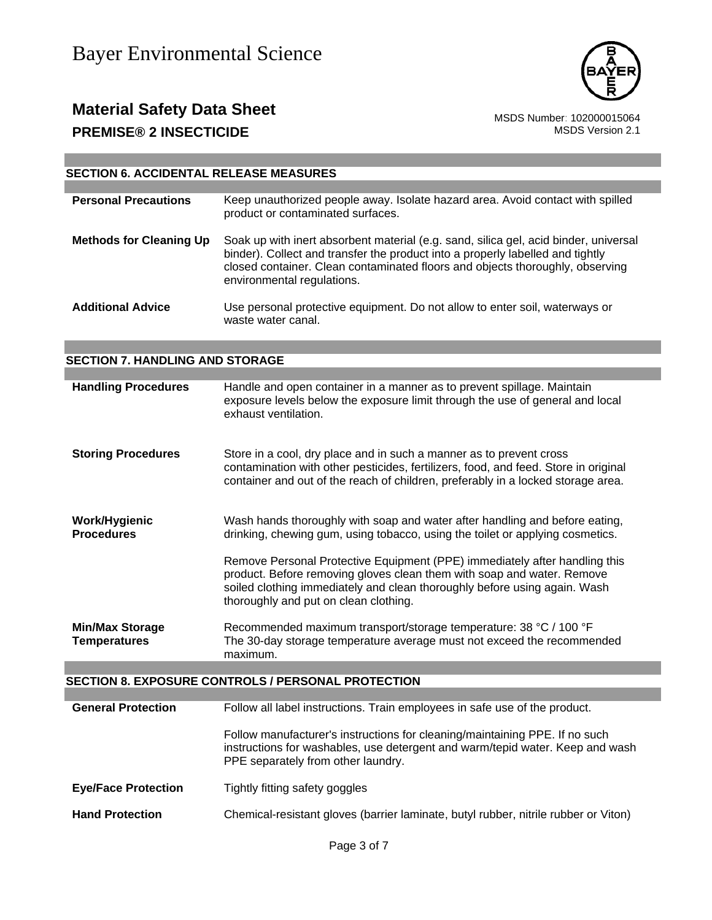

## **Material Safety Data Sheet**<br>PREMISE® 2 INSECTICIDE<br>MSDS Version 2.1 **PREMISE® 2 INSECTICIDE**

| <b>SECTION 6. ACCIDENTAL RELEASE MEASURES</b> |                                                                                                                                                                                                                                                                                       |
|-----------------------------------------------|---------------------------------------------------------------------------------------------------------------------------------------------------------------------------------------------------------------------------------------------------------------------------------------|
| <b>Personal Precautions</b>                   | Keep unauthorized people away. Isolate hazard area. Avoid contact with spilled<br>product or contaminated surfaces.                                                                                                                                                                   |
| <b>Methods for Cleaning Up</b>                | Soak up with inert absorbent material (e.g. sand, silica gel, acid binder, universal<br>binder). Collect and transfer the product into a properly labelled and tightly<br>closed container. Clean contaminated floors and objects thoroughly, observing<br>environmental regulations. |
| <b>Additional Advice</b>                      | Use personal protective equipment. Do not allow to enter soil, waterways or<br>waste water canal.                                                                                                                                                                                     |
| <b>SECTION 7. HANDLING AND STORAGE</b>        |                                                                                                                                                                                                                                                                                       |
|                                               |                                                                                                                                                                                                                                                                                       |
| <b>Handling Procedures</b>                    | Handle and open container in a manner as to prevent spillage. Maintain<br>exposure levels below the exposure limit through the use of general and local<br>exhaust ventilation.                                                                                                       |
| <b>Storing Procedures</b>                     | Store in a cool, dry place and in such a manner as to prevent cross<br>contamination with other pesticides, fertilizers, food, and feed. Store in original<br>container and out of the reach of children, preferably in a locked storage area.                                        |
| <b>Work/Hygienic</b><br><b>Procedures</b>     | Wash hands thoroughly with soap and water after handling and before eating,<br>drinking, chewing gum, using tobacco, using the toilet or applying cosmetics.                                                                                                                          |
|                                               | Remove Personal Protective Equipment (PPE) immediately after handling this<br>product. Before removing gloves clean them with soap and water. Remove<br>soiled clothing immediately and clean thoroughly before using again. Wash<br>thoroughly and put on clean clothing.            |
| <b>Min/Max Storage</b><br><b>Temperatures</b> | Recommended maximum transport/storage temperature: 38 °C / 100 °F<br>The 30-day storage temperature average must not exceed the recommended<br>maximum.                                                                                                                               |
|                                               | <b>SECTION 8. EXPOSURE CONTROLS / PERSONAL PROTECTION</b>                                                                                                                                                                                                                             |
|                                               |                                                                                                                                                                                                                                                                                       |
| <b>General Protection</b>                     | Follow all label instructions. Train employees in safe use of the product.                                                                                                                                                                                                            |
|                                               | Follow manufacturer's instructions for cleaning/maintaining PPE. If no such<br>instructions for washables, use detergent and warm/tepid water. Keep and wash<br>PPE separately from other laundry.                                                                                    |
| <b>Eye/Face Protection</b>                    | Tightly fitting safety goggles                                                                                                                                                                                                                                                        |
| <b>Hand Protection</b>                        | Chemical-resistant gloves (barrier laminate, butyl rubber, nitrile rubber or Viton)                                                                                                                                                                                                   |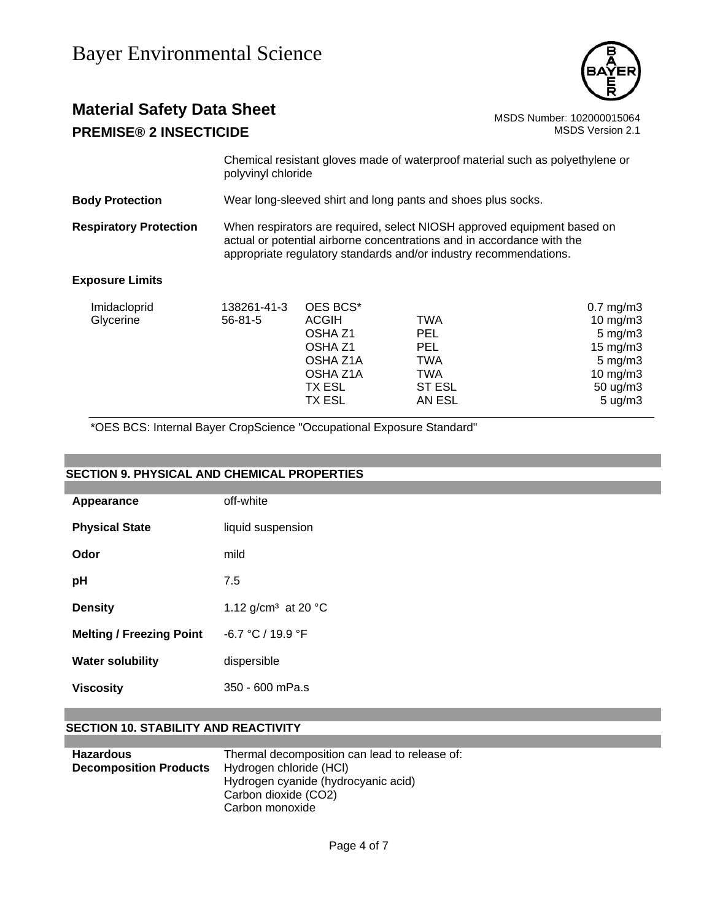

## **Material Safety Data Sheet** MSDS Number: 102000015064 **PREMISE® 2 INSECTICIDE MSDS** Version 2.1

Chemical resistant gloves made of waterproof material such as polyethylene or polyvinyl chloride

**Body Protection** Wear long-sleeved shirt and long pants and shoes plus socks.

**Respiratory Protection** When respirators are required, select NIOSH approved equipment based on actual or potential airborne concentrations and in accordance with the appropriate regulatory standards and/or industry recommendations.

#### **Exposure Limits**

| 10 mg/m $3$         |
|---------------------|
|                     |
| $5 \text{ mg/m}$ 3  |
| $15 \text{ mg/m}$   |
| $5 \text{ mg/m}$ 3  |
| 10 $mg/m3$          |
| $50 \text{ ug/m}$ 3 |
| $5 \text{ ug/m}$ 3  |
|                     |

\*OES BCS: Internal Bayer CropScience "Occupational Exposure Standard"

#### **SECTION 9. PHYSICAL AND CHEMICAL PROPERTIES**

| Appearance                      | off-white                                 |
|---------------------------------|-------------------------------------------|
| <b>Physical State</b>           | liquid suspension                         |
| Odor                            | mild                                      |
| рH                              | 7.5                                       |
| <b>Density</b>                  | 1.12 g/cm <sup>3</sup> at 20 $^{\circ}$ C |
| <b>Melting / Freezing Point</b> | $-6.7 °C / 19.9 °F$                       |
| <b>Water solubility</b>         | dispersible                               |
| <b>Viscosity</b>                | 350 - 600 mPa.s                           |

### **SECTION 10. STABILITY AND REACTIVITY**

| <b>Hazardous</b>              | Thermal decomposition can lead to release of: |
|-------------------------------|-----------------------------------------------|
| <b>Decomposition Products</b> | Hydrogen chloride (HCI)                       |
|                               | Hydrogen cyanide (hydrocyanic acid)           |
|                               | Carbon dioxide (CO2)                          |
|                               | Carbon monoxide                               |
|                               |                                               |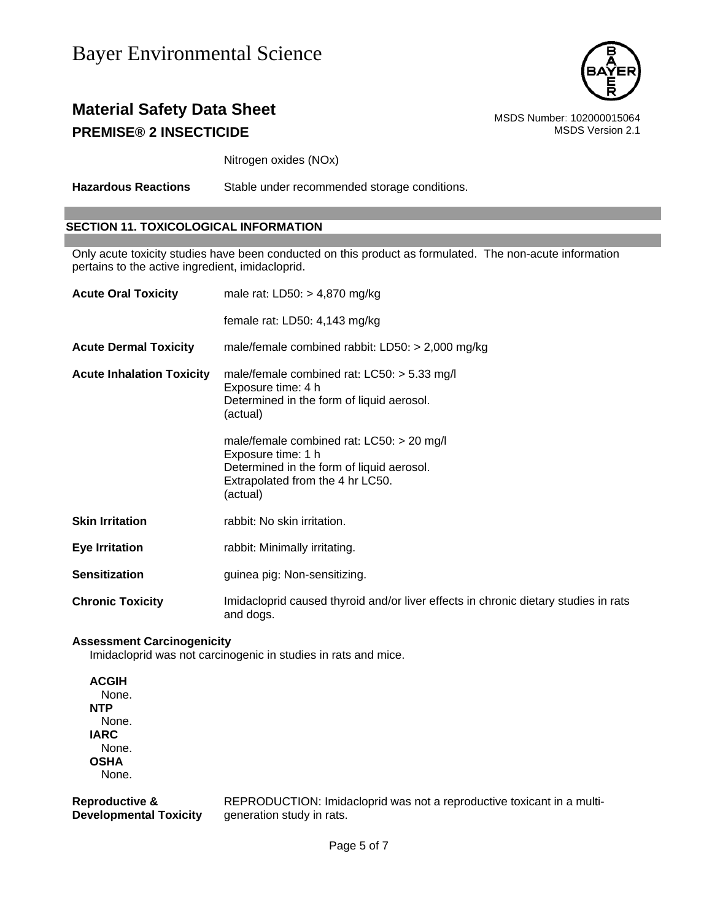

## **Material Safety Data Sheet** MSDS Number: 102000015064 **PREMISE® 2 INSECTICIDE MSDS** Version 2.1

Nitrogen oxides (NOx)

**Hazardous Reactions** Stable under recommended storage conditions.

### **SECTION 11. TOXICOLOGICAL INFORMATION**

Only acute toxicity studies have been conducted on this product as formulated. The non-acute information pertains to the active ingredient, imidacloprid.

| <b>Acute Oral Toxicity</b>       | male rat: $LD50: > 4,870$ mg/kg                                                                                                                                                                                                                                                                |
|----------------------------------|------------------------------------------------------------------------------------------------------------------------------------------------------------------------------------------------------------------------------------------------------------------------------------------------|
|                                  | female rat: LD50: 4,143 mg/kg                                                                                                                                                                                                                                                                  |
| <b>Acute Dermal Toxicity</b>     | male/female combined rabbit: $LD50: > 2,000$ mg/kg                                                                                                                                                                                                                                             |
| <b>Acute Inhalation Toxicity</b> | male/female combined rat: $LCS0:$ > 5.33 mg/l<br>Exposure time: 4 h<br>Determined in the form of liquid aerosol.<br>(actual)<br>male/female combined rat: $LCS0:$ > 20 mg/l<br>Exposure time: 1 h<br>Determined in the form of liquid aerosol.<br>Extrapolated from the 4 hr LC50.<br>(actual) |
| <b>Skin Irritation</b>           | rabbit: No skin irritation.                                                                                                                                                                                                                                                                    |
| <b>Eye Irritation</b>            | rabbit: Minimally irritating.                                                                                                                                                                                                                                                                  |
| <b>Sensitization</b>             | guinea pig: Non-sensitizing.                                                                                                                                                                                                                                                                   |
| <b>Chronic Toxicity</b>          | Imidacloprid caused thyroid and/or liver effects in chronic dietary studies in rats<br>and dogs.                                                                                                                                                                                               |

#### **Assessment Carcinogenicity**

Imidacloprid was not carcinogenic in studies in rats and mice.

**ACGIH** None. **NTP** None. **IARC** None. **OSHA** None.

**Reproductive & Developmental Toxicity** REPRODUCTION: Imidacloprid was not a reproductive toxicant in a multigeneration study in rats.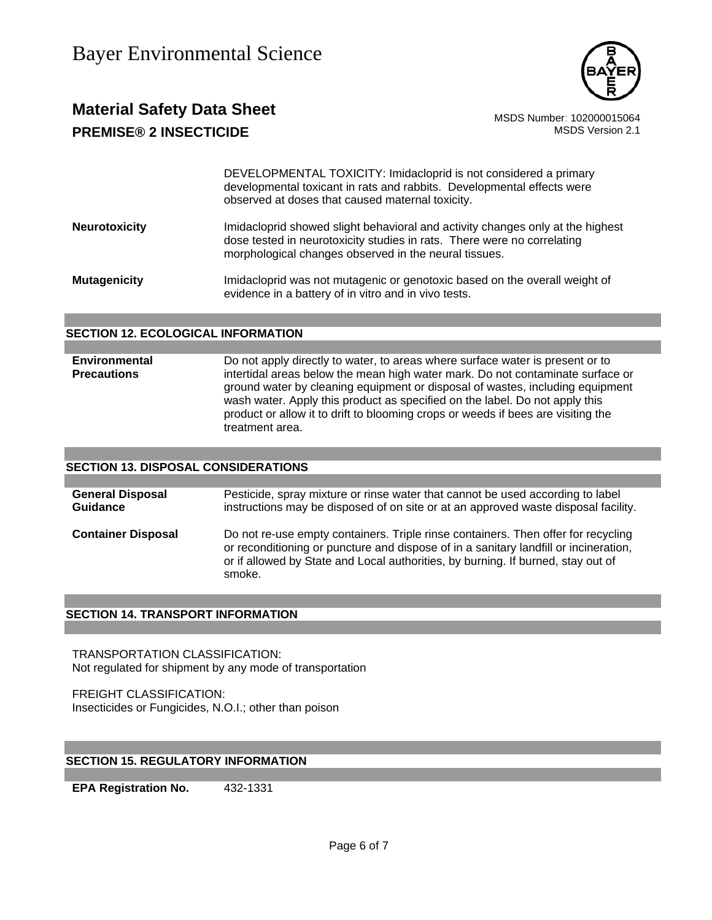

## **Material Safety Data Sheet** Material Safety Data Sheet MSDS Number: 102000015064 **PREMISE® 2 INSECTICIDE MSDS** Version 2.1

DEVELOPMENTAL TOXICITY: Imidacloprid is not considered a primary developmental toxicant in rats and rabbits. Developmental effects were observed at doses that caused maternal toxicity.

**Neurotoxicity Imidacloprid showed slight behavioral and activity changes only at the highest** dose tested in neurotoxicity studies in rats. There were no correlating morphological changes observed in the neural tissues.

**Mutagenicity** Imidacloprid was not mutagenic or genotoxic based on the overall weight of evidence in a battery of in vitro and in vivo tests.

#### **SECTION 12. ECOLOGICAL INFORMATION**

**Environmental Precautions**  Do not apply directly to water, to areas where surface water is present or to intertidal areas below the mean high water mark. Do not contaminate surface or ground water by cleaning equipment or disposal of wastes, including equipment wash water. Apply this product as specified on the label. Do not apply this product or allow it to drift to blooming crops or weeds if bees are visiting the treatment area.

### **SECTION 13. DISPOSAL CONSIDERATIONS**

**General Disposal Guidance** Pesticide, spray mixture or rinse water that cannot be used according to label instructions may be disposed of on site or at an approved waste disposal facility. **Container Disposal** Do not re-use empty containers. Triple rinse containers. Then offer for recycling or reconditioning or puncture and dispose of in a sanitary landfill or incineration, or if allowed by State and Local authorities, by burning. If burned, stay out of smoke.

#### **SECTION 14. TRANSPORT INFORMATION**

TRANSPORTATION CLASSIFICATION: Not regulated for shipment by any mode of transportation

FREIGHT CLASSIFICATION: Insecticides or Fungicides, N.O.I.; other than poison

### **SECTION 15. REGULATORY INFORMATION**

**EPA Registration No.** 432-1331